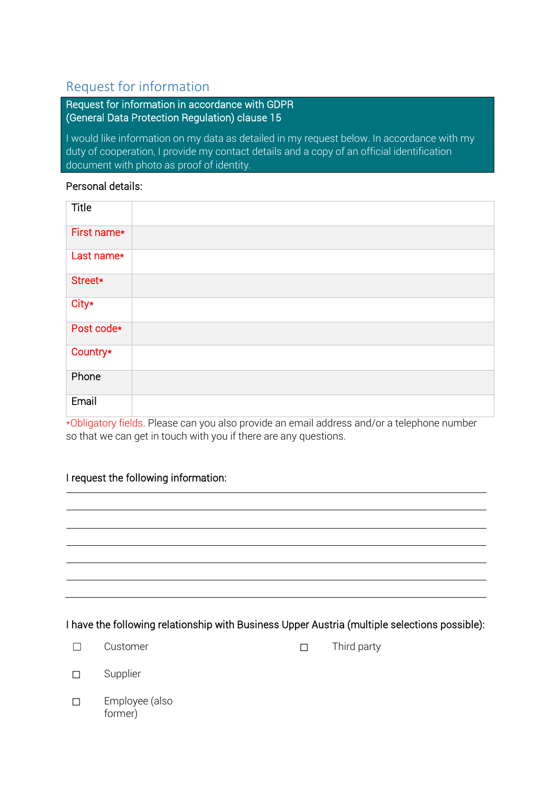# Request for information

Request for information in accordance with GDPR (General Data Protection Regulation) clause 15

I would like information on my data as detailed in my request below. In accordance with my duty of cooperation, I provide my contact details and a copy of an official identification document with photo as proof of identity.

#### Personal details:

| <b>Title</b> |  |
|--------------|--|
| First name*  |  |
| Last name*   |  |
| Street*      |  |
| City*        |  |
| Post code*   |  |
| Country*     |  |
| Phone        |  |
| Email        |  |

\*Obligatory fields. Please can you also provide an email address and/or a telephone number so that we can get in touch with you if there are any questions.

### I request the following information:

### I have the following relationship with Business Upper Austria (multiple selections possible):

☐ Third party

| Supplier |
|----------|
|          |

☐ Employee (also former)